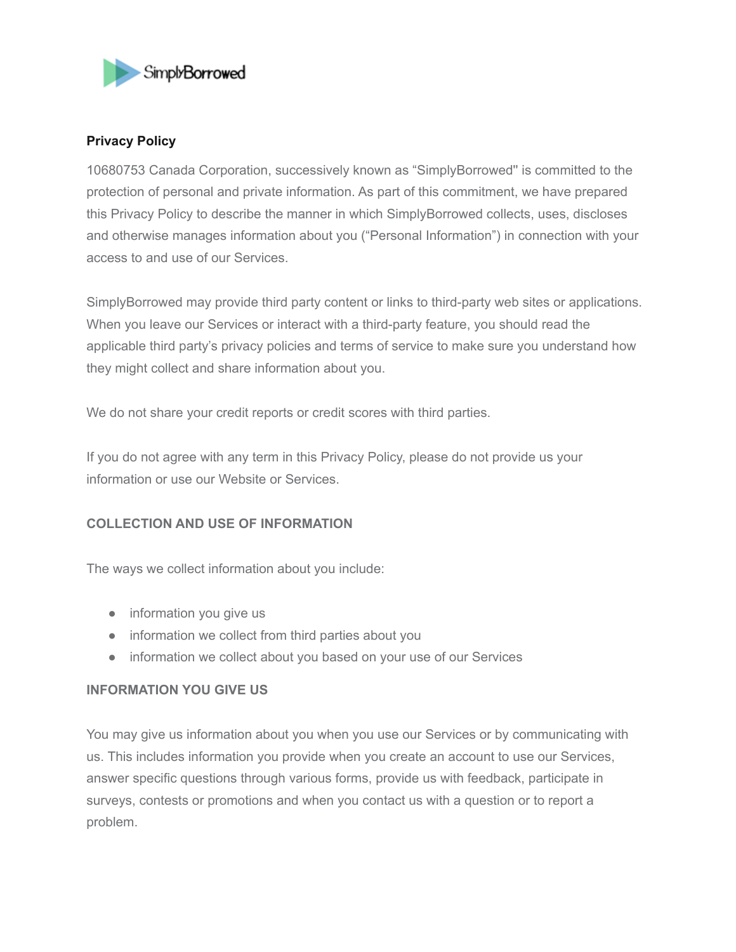

## **Privacy Policy**

10680753 Canada Corporation, successively known as "SimplyBorrowed'' is committed to the protection of personal and private information. As part of this commitment, we have prepared this Privacy Policy to describe the manner in which SimplyBorrowed collects, uses, discloses and otherwise manages information about you ("Personal Information") in connection with your access to and use of our Services.

SimplyBorrowed may provide third party content or links to third-party web sites or applications. When you leave our Services or interact with a third-party feature, you should read the applicable third party's privacy policies and terms of service to make sure you understand how they might collect and share information about you.

We do not share your credit reports or credit scores with third parties.

If you do not agree with any term in this Privacy Policy, please do not provide us your information or use our Website or Services.

## **COLLECTION AND USE OF INFORMATION**

The ways we collect information about you include:

- information you give us
- information we collect from third parties about you
- information we collect about you based on your use of our Services

### **INFORMATION YOU GIVE US**

You may give us information about you when you use our Services or by communicating with us. This includes information you provide when you create an account to use our Services, answer specific questions through various forms, provide us with feedback, participate in surveys, contests or promotions and when you contact us with a question or to report a problem.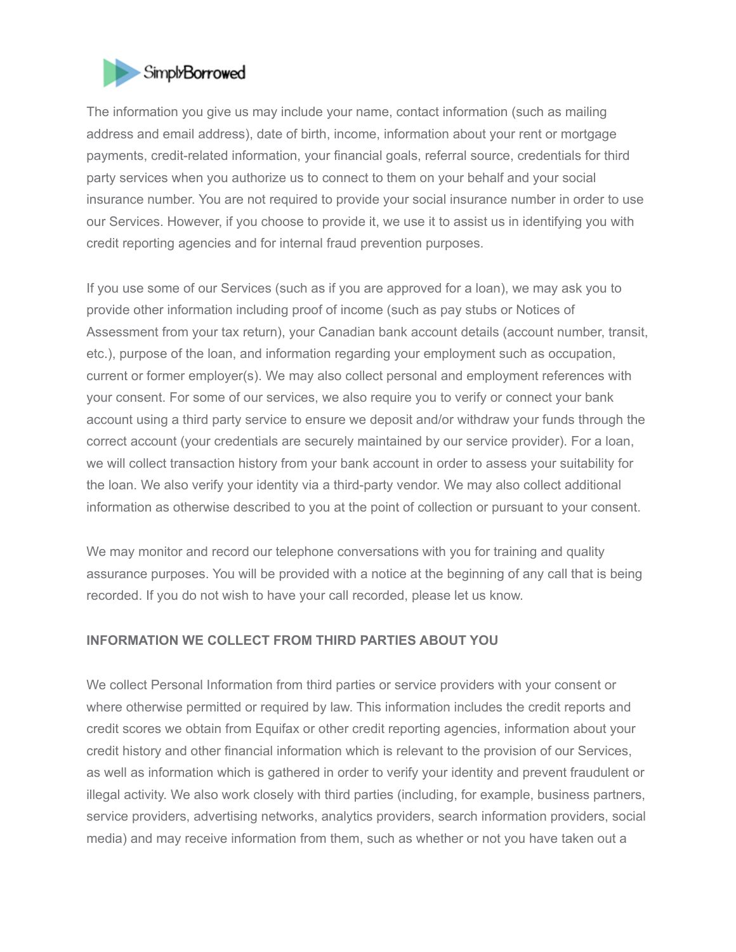

The information you give us may include your name, contact information (such as mailing address and email address), date of birth, income, information about your rent or mortgage payments, credit-related information, your financial goals, referral source, credentials for third party services when you authorize us to connect to them on your behalf and your social insurance number. You are not required to provide your social insurance number in order to use our Services. However, if you choose to provide it, we use it to assist us in identifying you with credit reporting agencies and for internal fraud prevention purposes.

If you use some of our Services (such as if you are approved for a loan), we may ask you to provide other information including proof of income (such as pay stubs or Notices of Assessment from your tax return), your Canadian bank account details (account number, transit, etc.), purpose of the loan, and information regarding your employment such as occupation, current or former employer(s). We may also collect personal and employment references with your consent. For some of our services, we also require you to verify or connect your bank account using a third party service to ensure we deposit and/or withdraw your funds through the correct account (your credentials are securely maintained by our service provider). For a loan, we will collect transaction history from your bank account in order to assess your suitability for the loan. We also verify your identity via a third-party vendor. We may also collect additional information as otherwise described to you at the point of collection or pursuant to your consent.

We may monitor and record our telephone conversations with you for training and quality assurance purposes. You will be provided with a notice at the beginning of any call that is being recorded. If you do not wish to have your call recorded, please let us know.

### **INFORMATION WE COLLECT FROM THIRD PARTIES ABOUT YOU**

We collect Personal Information from third parties or service providers with your consent or where otherwise permitted or required by law. This information includes the credit reports and credit scores we obtain from Equifax or other credit reporting agencies, information about your credit history and other financial information which is relevant to the provision of our Services, as well as information which is gathered in order to verify your identity and prevent fraudulent or illegal activity. We also work closely with third parties (including, for example, business partners, service providers, advertising networks, analytics providers, search information providers, social media) and may receive information from them, such as whether or not you have taken out a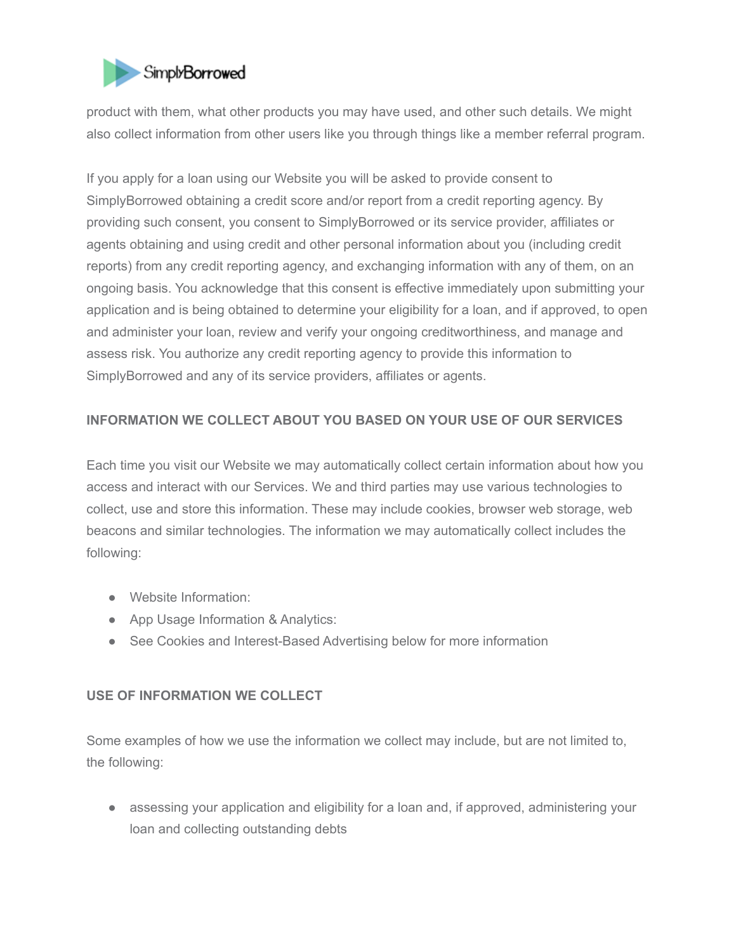

product with them, what other products you may have used, and other such details. We might also collect information from other users like you through things like a member referral program.

If you apply for a loan using our Website you will be asked to provide consent to SimplyBorrowed obtaining a credit score and/or report from a credit reporting agency. By providing such consent, you consent to SimplyBorrowed or its service provider, affiliates or agents obtaining and using credit and other personal information about you (including credit reports) from any credit reporting agency, and exchanging information with any of them, on an ongoing basis. You acknowledge that this consent is effective immediately upon submitting your application and is being obtained to determine your eligibility for a loan, and if approved, to open and administer your loan, review and verify your ongoing creditworthiness, and manage and assess risk. You authorize any credit reporting agency to provide this information to SimplyBorrowed and any of its service providers, affiliates or agents.

# **INFORMATION WE COLLECT ABOUT YOU BASED ON YOUR USE OF OUR SERVICES**

Each time you visit our Website we may automatically collect certain information about how you access and interact with our Services. We and third parties may use various technologies to collect, use and store this information. These may include cookies, browser web storage, web beacons and similar technologies. The information we may automatically collect includes the following:

- Website Information:
- App Usage Information & Analytics:
- See Cookies and Interest-Based Advertising below for more information

### **USE OF INFORMATION WE COLLECT**

Some examples of how we use the information we collect may include, but are not limited to, the following:

• assessing your application and eligibility for a loan and, if approved, administering your loan and collecting outstanding debts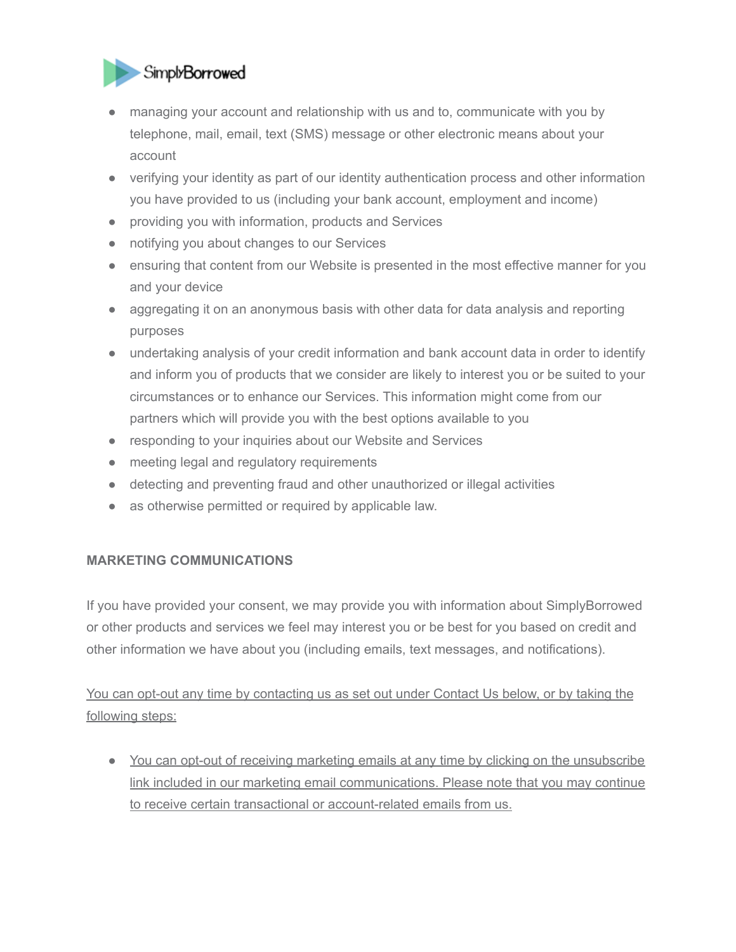

- managing your account and relationship with us and to, communicate with you by telephone, mail, email, text (SMS) message or other electronic means about your account
- verifying your identity as part of our identity authentication process and other information you have provided to us (including your bank account, employment and income)
- providing you with information, products and Services
- notifying you about changes to our Services
- ensuring that content from our Website is presented in the most effective manner for you and your device
- aggregating it on an anonymous basis with other data for data analysis and reporting purposes
- undertaking analysis of your credit information and bank account data in order to identify and inform you of products that we consider are likely to interest you or be suited to your circumstances or to enhance our Services. This information might come from our partners which will provide you with the best options available to you
- responding to your inquiries about our Website and Services
- meeting legal and regulatory requirements
- detecting and preventing fraud and other unauthorized or illegal activities
- as otherwise permitted or required by applicable law.

# **MARKETING COMMUNICATIONS**

If you have provided your consent, we may provide you with information about SimplyBorrowed or other products and services we feel may interest you or be best for you based on credit and other information we have about you (including emails, text messages, and notifications).

You can opt-out any time by contacting us as set out under Contact Us below, or by taking the following steps:

• You can opt-out of receiving marketing emails at any time by clicking on the unsubscribe link included in our marketing email communications. Please note that you may continue to receive certain transactional or account-related emails from us.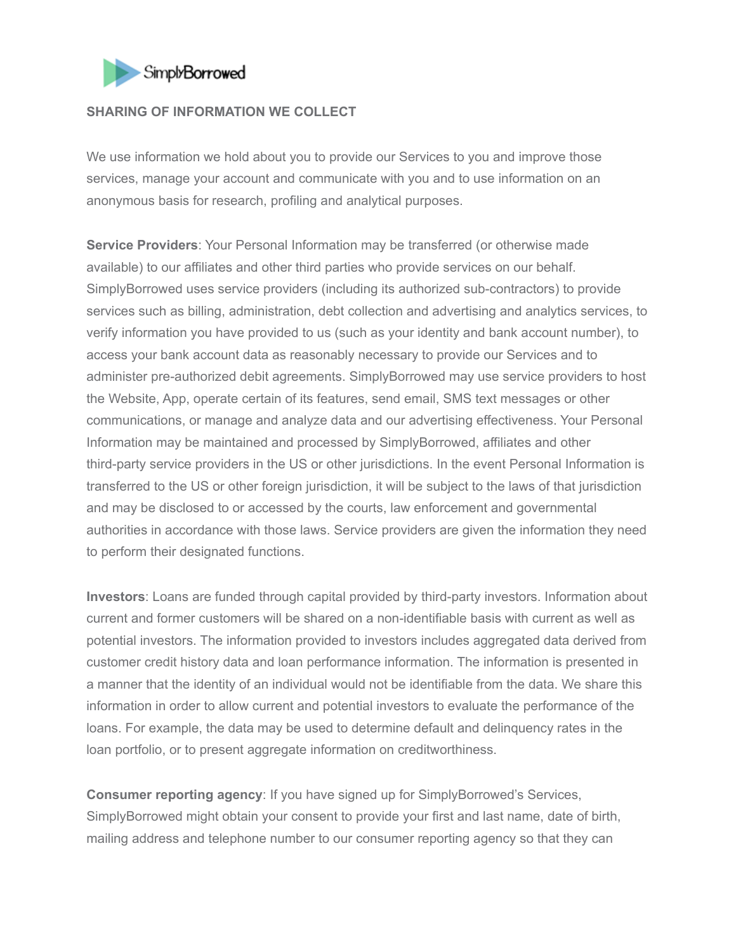

### **SHARING OF INFORMATION WE COLLECT**

We use information we hold about you to provide our Services to you and improve those services, manage your account and communicate with you and to use information on an anonymous basis for research, profiling and analytical purposes.

**Service Providers**: Your Personal Information may be transferred (or otherwise made available) to our affiliates and other third parties who provide services on our behalf. SimplyBorrowed uses service providers (including its authorized sub-contractors) to provide services such as billing, administration, debt collection and advertising and analytics services, to verify information you have provided to us (such as your identity and bank account number), to access your bank account data as reasonably necessary to provide our Services and to administer pre-authorized debit agreements. SimplyBorrowed may use service providers to host the Website, App, operate certain of its features, send email, SMS text messages or other communications, or manage and analyze data and our advertising effectiveness. Your Personal Information may be maintained and processed by SimplyBorrowed, affiliates and other third-party service providers in the US or other jurisdictions. In the event Personal Information is transferred to the US or other foreign jurisdiction, it will be subject to the laws of that jurisdiction and may be disclosed to or accessed by the courts, law enforcement and governmental authorities in accordance with those laws. Service providers are given the information they need to perform their designated functions.

**Investors**: Loans are funded through capital provided by third-party investors. Information about current and former customers will be shared on a non-identifiable basis with current as well as potential investors. The information provided to investors includes aggregated data derived from customer credit history data and loan performance information. The information is presented in a manner that the identity of an individual would not be identifiable from the data. We share this information in order to allow current and potential investors to evaluate the performance of the loans. For example, the data may be used to determine default and delinquency rates in the loan portfolio, or to present aggregate information on creditworthiness.

**Consumer reporting agency**: If you have signed up for SimplyBorrowed's Services, SimplyBorrowed might obtain your consent to provide your first and last name, date of birth, mailing address and telephone number to our consumer reporting agency so that they can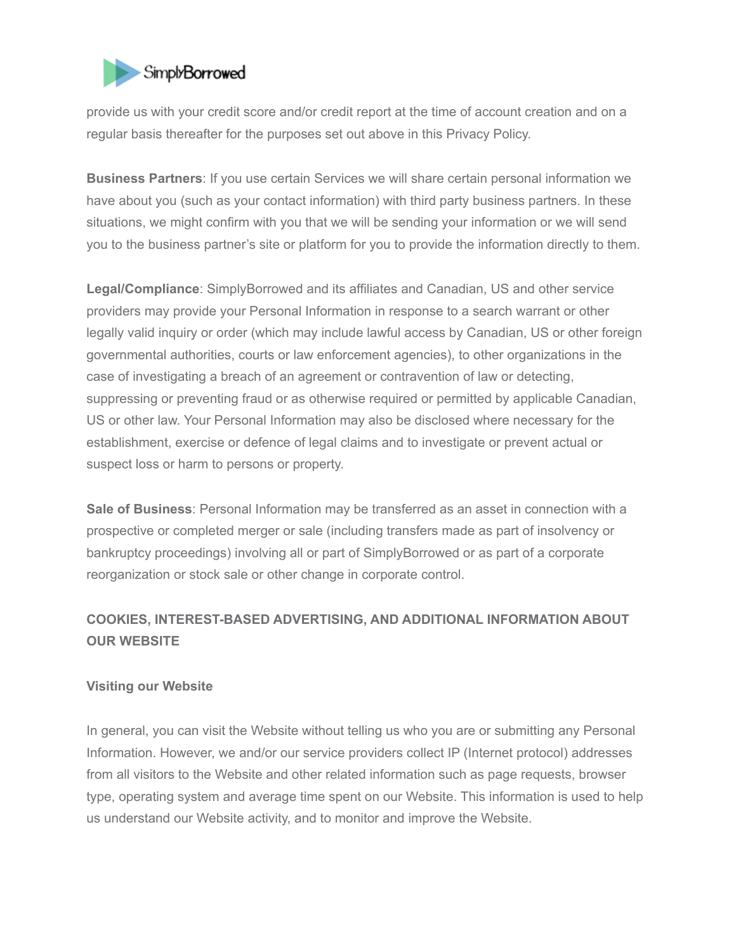

provide us with your credit score and/or credit report at the time of account creation and on a regular basis thereafter for the purposes set out above in this Privacy Policy.

**Business Partners**: If you use certain Services we will share certain personal information we have about you (such as your contact information) with third party business partners. In these situations, we might confirm with you that we will be sending your information or we will send you to the business partner's site or platform for you to provide the information directly to them.

**Legal/Compliance**: SimplyBorrowed and its affiliates and Canadian, US and other service providers may provide your Personal Information in response to a search warrant or other legally valid inquiry or order (which may include lawful access by Canadian, US or other foreign governmental authorities, courts or law enforcement agencies), to other organizations in the case of investigating a breach of an agreement or contravention of law or detecting, suppressing or preventing fraud or as otherwise required or permitted by applicable Canadian, US or other law. Your Personal Information may also be disclosed where necessary for the establishment, exercise or defence of legal claims and to investigate or prevent actual or suspect loss or harm to persons or property.

**Sale of Business**: Personal Information may be transferred as an asset in connection with a prospective or completed merger or sale (including transfers made as part of insolvency or bankruptcy proceedings) involving all or part of SimplyBorrowed or as part of a corporate reorganization or stock sale or other change in corporate control.

# **COOKIES, INTEREST-BASED ADVERTISING, AND ADDITIONAL INFORMATION ABOUT OUR WEBSITE**

### **Visiting our Website**

In general, you can visit the Website without telling us who you are or submitting any Personal Information. However, we and/or our service providers collect IP (Internet protocol) addresses from all visitors to the Website and other related information such as page requests, browser type, operating system and average time spent on our Website. This information is used to help us understand our Website activity, and to monitor and improve the Website.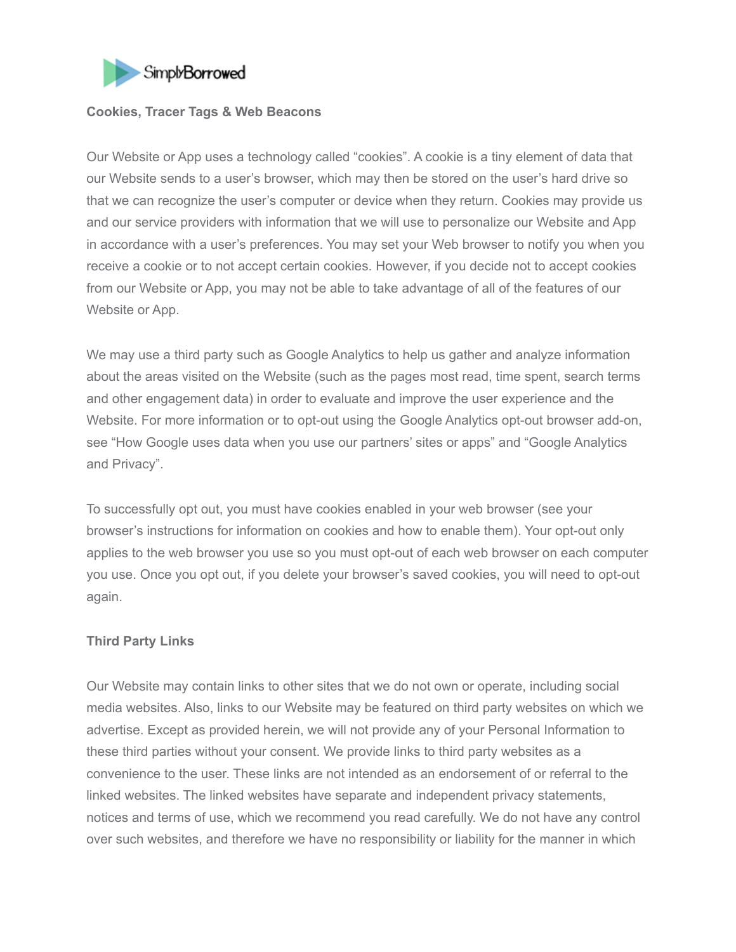

#### **Cookies, Tracer Tags & Web Beacons**

Our Website or App uses a technology called "cookies". A cookie is a tiny element of data that our Website sends to a user's browser, which may then be stored on the user's hard drive so that we can recognize the user's computer or device when they return. Cookies may provide us and our service providers with information that we will use to personalize our Website and App in accordance with a user's preferences. You may set your Web browser to notify you when you receive a cookie or to not accept certain cookies. However, if you decide not to accept cookies from our Website or App, you may not be able to take advantage of all of the features of our Website or App.

We may use a third party such as Google Analytics to help us gather and analyze information about the areas visited on the Website (such as the pages most read, time spent, search terms and other engagement data) in order to evaluate and improve the user experience and the Website. For more information or to opt-out using the Google Analytics opt-out browser add-on, see "How Google uses data when you use our partners' sites or apps" and "Google Analytics and Privacy".

To successfully opt out, you must have cookies enabled in your web browser (see your browser's instructions for information on cookies and how to enable them). Your opt-out only applies to the web browser you use so you must opt-out of each web browser on each computer you use. Once you opt out, if you delete your browser's saved cookies, you will need to opt-out again.

### **Third Party Links**

Our Website may contain links to other sites that we do not own or operate, including social media websites. Also, links to our Website may be featured on third party websites on which we advertise. Except as provided herein, we will not provide any of your Personal Information to these third parties without your consent. We provide links to third party websites as a convenience to the user. These links are not intended as an endorsement of or referral to the linked websites. The linked websites have separate and independent privacy statements, notices and terms of use, which we recommend you read carefully. We do not have any control over such websites, and therefore we have no responsibility or liability for the manner in which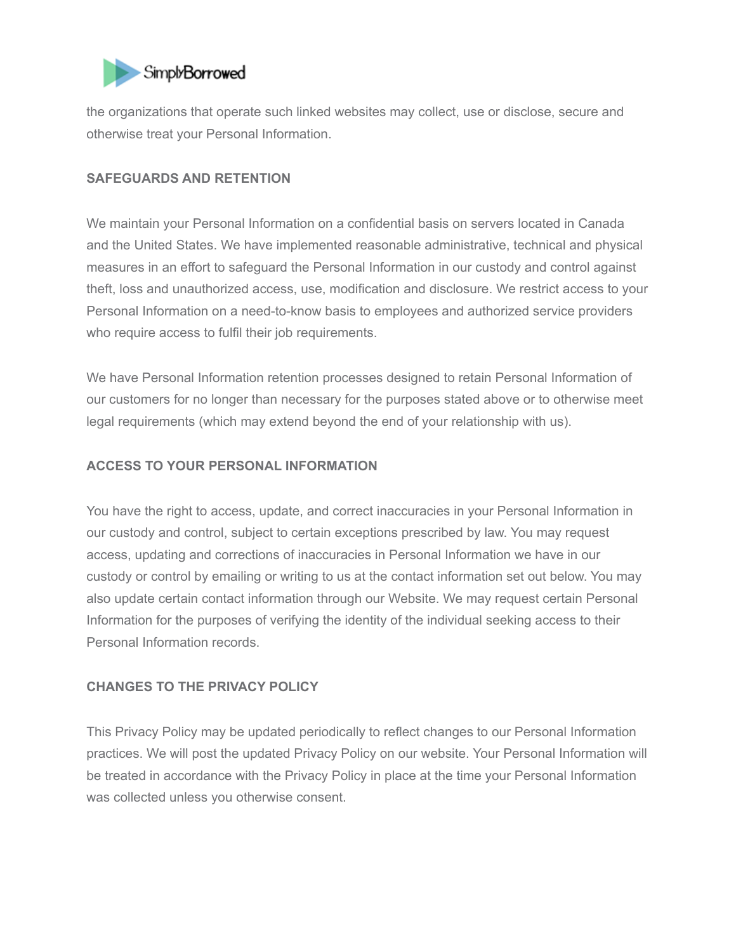

the organizations that operate such linked websites may collect, use or disclose, secure and otherwise treat your Personal Information.

### **SAFEGUARDS AND RETENTION**

We maintain your Personal Information on a confidential basis on servers located in Canada and the United States. We have implemented reasonable administrative, technical and physical measures in an effort to safeguard the Personal Information in our custody and control against theft, loss and unauthorized access, use, modification and disclosure. We restrict access to your Personal Information on a need-to-know basis to employees and authorized service providers who require access to fulfil their job requirements.

We have Personal Information retention processes designed to retain Personal Information of our customers for no longer than necessary for the purposes stated above or to otherwise meet legal requirements (which may extend beyond the end of your relationship with us).

# **ACCESS TO YOUR PERSONAL INFORMATION**

You have the right to access, update, and correct inaccuracies in your Personal Information in our custody and control, subject to certain exceptions prescribed by law. You may request access, updating and corrections of inaccuracies in Personal Information we have in our custody or control by emailing or writing to us at the contact information set out below. You may also update certain contact information through our Website. We may request certain Personal Information for the purposes of verifying the identity of the individual seeking access to their Personal Information records.

### **CHANGES TO THE PRIVACY POLICY**

This Privacy Policy may be updated periodically to reflect changes to our Personal Information practices. We will post the updated Privacy Policy on our website. Your Personal Information will be treated in accordance with the Privacy Policy in place at the time your Personal Information was collected unless you otherwise consent.